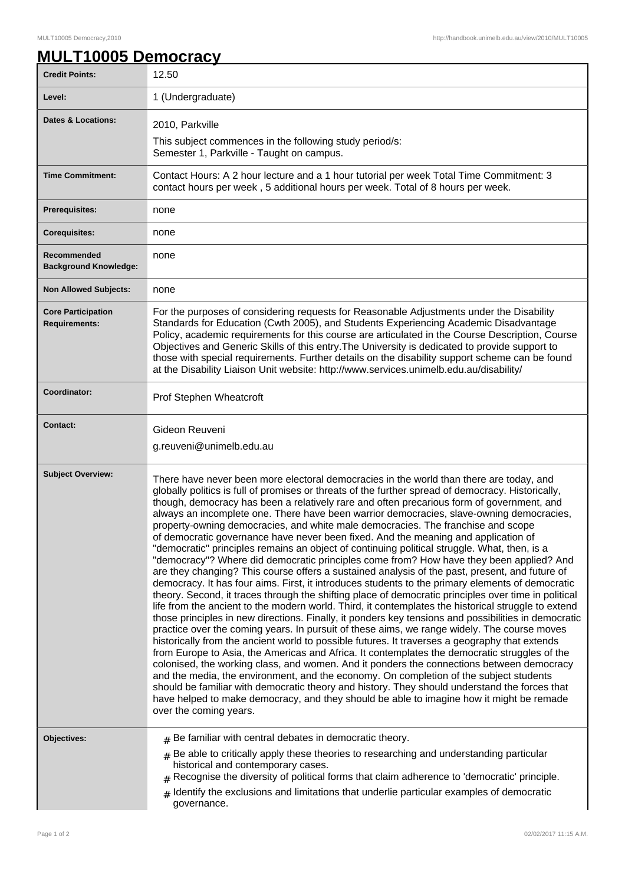## **MULT10005 Democracy**

| <b>Credit Points:</b>                             | 12.50                                                                                                                                                                                                                                                                                                                                                                                                                                                                                                                                                                                                                                                                                                                                                                                                                                                                                                                                                                                                                                                                                                                                                                                                                                                                                                                                                                                                                                                                                                                                                                                                                                                                                                                                                                                                                                                                                                                                                                                                    |
|---------------------------------------------------|----------------------------------------------------------------------------------------------------------------------------------------------------------------------------------------------------------------------------------------------------------------------------------------------------------------------------------------------------------------------------------------------------------------------------------------------------------------------------------------------------------------------------------------------------------------------------------------------------------------------------------------------------------------------------------------------------------------------------------------------------------------------------------------------------------------------------------------------------------------------------------------------------------------------------------------------------------------------------------------------------------------------------------------------------------------------------------------------------------------------------------------------------------------------------------------------------------------------------------------------------------------------------------------------------------------------------------------------------------------------------------------------------------------------------------------------------------------------------------------------------------------------------------------------------------------------------------------------------------------------------------------------------------------------------------------------------------------------------------------------------------------------------------------------------------------------------------------------------------------------------------------------------------------------------------------------------------------------------------------------------------|
| Level:                                            | 1 (Undergraduate)                                                                                                                                                                                                                                                                                                                                                                                                                                                                                                                                                                                                                                                                                                                                                                                                                                                                                                                                                                                                                                                                                                                                                                                                                                                                                                                                                                                                                                                                                                                                                                                                                                                                                                                                                                                                                                                                                                                                                                                        |
| Dates & Locations:                                | 2010, Parkville                                                                                                                                                                                                                                                                                                                                                                                                                                                                                                                                                                                                                                                                                                                                                                                                                                                                                                                                                                                                                                                                                                                                                                                                                                                                                                                                                                                                                                                                                                                                                                                                                                                                                                                                                                                                                                                                                                                                                                                          |
|                                                   | This subject commences in the following study period/s:<br>Semester 1, Parkville - Taught on campus.                                                                                                                                                                                                                                                                                                                                                                                                                                                                                                                                                                                                                                                                                                                                                                                                                                                                                                                                                                                                                                                                                                                                                                                                                                                                                                                                                                                                                                                                                                                                                                                                                                                                                                                                                                                                                                                                                                     |
| <b>Time Commitment:</b>                           | Contact Hours: A 2 hour lecture and a 1 hour tutorial per week Total Time Commitment: 3<br>contact hours per week, 5 additional hours per week. Total of 8 hours per week.                                                                                                                                                                                                                                                                                                                                                                                                                                                                                                                                                                                                                                                                                                                                                                                                                                                                                                                                                                                                                                                                                                                                                                                                                                                                                                                                                                                                                                                                                                                                                                                                                                                                                                                                                                                                                               |
| <b>Prerequisites:</b>                             | none                                                                                                                                                                                                                                                                                                                                                                                                                                                                                                                                                                                                                                                                                                                                                                                                                                                                                                                                                                                                                                                                                                                                                                                                                                                                                                                                                                                                                                                                                                                                                                                                                                                                                                                                                                                                                                                                                                                                                                                                     |
| <b>Corequisites:</b>                              | none                                                                                                                                                                                                                                                                                                                                                                                                                                                                                                                                                                                                                                                                                                                                                                                                                                                                                                                                                                                                                                                                                                                                                                                                                                                                                                                                                                                                                                                                                                                                                                                                                                                                                                                                                                                                                                                                                                                                                                                                     |
| Recommended<br><b>Background Knowledge:</b>       | none                                                                                                                                                                                                                                                                                                                                                                                                                                                                                                                                                                                                                                                                                                                                                                                                                                                                                                                                                                                                                                                                                                                                                                                                                                                                                                                                                                                                                                                                                                                                                                                                                                                                                                                                                                                                                                                                                                                                                                                                     |
| <b>Non Allowed Subjects:</b>                      | none                                                                                                                                                                                                                                                                                                                                                                                                                                                                                                                                                                                                                                                                                                                                                                                                                                                                                                                                                                                                                                                                                                                                                                                                                                                                                                                                                                                                                                                                                                                                                                                                                                                                                                                                                                                                                                                                                                                                                                                                     |
| <b>Core Participation</b><br><b>Requirements:</b> | For the purposes of considering requests for Reasonable Adjustments under the Disability<br>Standards for Education (Cwth 2005), and Students Experiencing Academic Disadvantage<br>Policy, academic requirements for this course are articulated in the Course Description, Course<br>Objectives and Generic Skills of this entry. The University is dedicated to provide support to<br>those with special requirements. Further details on the disability support scheme can be found<br>at the Disability Liaison Unit website: http://www.services.unimelb.edu.au/disability/                                                                                                                                                                                                                                                                                                                                                                                                                                                                                                                                                                                                                                                                                                                                                                                                                                                                                                                                                                                                                                                                                                                                                                                                                                                                                                                                                                                                                        |
| Coordinator:                                      | Prof Stephen Wheatcroft                                                                                                                                                                                                                                                                                                                                                                                                                                                                                                                                                                                                                                                                                                                                                                                                                                                                                                                                                                                                                                                                                                                                                                                                                                                                                                                                                                                                                                                                                                                                                                                                                                                                                                                                                                                                                                                                                                                                                                                  |
| <b>Contact:</b>                                   | Gideon Reuveni<br>g.reuveni@unimelb.edu.au                                                                                                                                                                                                                                                                                                                                                                                                                                                                                                                                                                                                                                                                                                                                                                                                                                                                                                                                                                                                                                                                                                                                                                                                                                                                                                                                                                                                                                                                                                                                                                                                                                                                                                                                                                                                                                                                                                                                                               |
| <b>Subject Overview:</b>                          | There have never been more electoral democracies in the world than there are today, and<br>globally politics is full of promises or threats of the further spread of democracy. Historically,<br>though, democracy has been a relatively rare and often precarious form of government, and<br>always an incomplete one. There have been warrior democracies, slave-owning democracies,<br>property-owning democracies, and white male democracies. The franchise and scope<br>of democratic governance have never been fixed. And the meaning and application of<br>"democratic" principles remains an object of continuing political struggle. What, then, is a<br>"democracy"? Where did democratic principles come from? How have they been applied? And<br>are they changing? This course offers a sustained analysis of the past, present, and future of<br>democracy. It has four aims. First, it introduces students to the primary elements of democratic<br>theory. Second, it traces through the shifting place of democratic principles over time in political<br>life from the ancient to the modern world. Third, it contemplates the historical struggle to extend<br>those principles in new directions. Finally, it ponders key tensions and possibilities in democratic<br>practice over the coming years. In pursuit of these aims, we range widely. The course moves<br>historically from the ancient world to possible futures. It traverses a geography that extends<br>from Europe to Asia, the Americas and Africa. It contemplates the democratic struggles of the<br>colonised, the working class, and women. And it ponders the connections between democracy<br>and the media, the environment, and the economy. On completion of the subject students<br>should be familiar with democratic theory and history. They should understand the forces that<br>have helped to make democracy, and they should be able to imagine how it might be remade<br>over the coming years. |
| Objectives:                                       | $#$ Be familiar with central debates in democratic theory.<br>$*$ Be able to critically apply these theories to researching and understanding particular<br>historical and contemporary cases.<br>$#$ Recognise the diversity of political forms that claim adherence to 'democratic' principle.<br>$_{\#}$ Identify the exclusions and limitations that underlie particular examples of democratic<br>governance.                                                                                                                                                                                                                                                                                                                                                                                                                                                                                                                                                                                                                                                                                                                                                                                                                                                                                                                                                                                                                                                                                                                                                                                                                                                                                                                                                                                                                                                                                                                                                                                       |